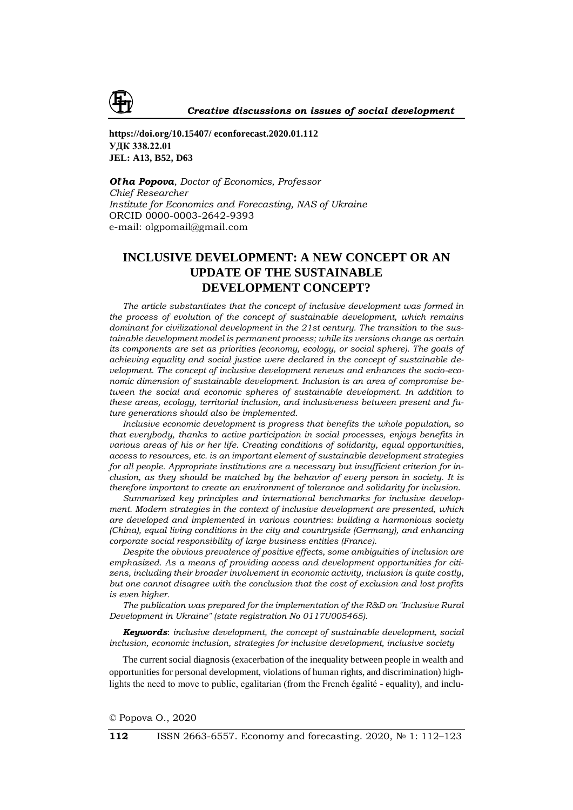

**https://doi.org/10.15407/ econforecast.2020.01.112 УДК 338.22.01 JEL: A13, B52, D63**

*Ol*'*ha Popova, Doctor of Economics, Professor Chief Researcher Institute for Economics and Forecasting, NAS of Ukraine* ORCID 0000-0003-2642-9393 e-mail: olgpomail@gmail.com

# **INCLUSIVE DEVELOPMENT: A NEW CONCEPT OR AN UPDATE OF THE SUSTAINABLE DEVELOPMENT CONCEPT?**

*The article substantiates that the concept of inclusive development was formed in the process of evolution of the concept of sustainable development, which remains dominant for civilizational development in the 21st century. The transition to the sustainable development model is permanent process; while its versions change as certain its components are set as priorities (economy, ecology, or social sphere). The goals of achieving equality and social justice were declared in the concept of sustainable development. The concept of inclusive development renews and enhances the socio-economic dimension of sustainable development. Inclusion is an area of compromise between the social and economic spheres of sustainable development. In addition to these areas, ecology, territorial inclusion, and inclusiveness between present and future generations should also be implemented.*

*Inclusive economic development is progress that benefits the whole population, so that everybody, thanks to active participation in social processes, enjoys benefits in various areas of his or her life. Creating conditions of solidarity, equal opportunities, access to resources, etc. is an important element of sustainable development strategies for all people. Appropriate institutions are a necessary but insufficient criterion for inclusion, as they should be matched by the behavior of every person in society. It is therefore important to create an environment of tolerance and solidarity for inclusion.*

*Summarized key principles and international benchmarks for inclusive development. Modern strategies in the context of inclusive development are presented, which are developed and implemented in various countries: building a harmonious society (China), equal living conditions in the city and countryside (Germany), and enhancing corporate social responsibility of large business entities (France).*

*Despite the obvious prevalence of positive effects, some ambiguities of inclusion are emphasized. As a means of providing access and development opportunities for citizens, including their broader involvement in economic activity, inclusion is quite costly, but one cannot disagree with the conclusion that the cost of exclusion and lost profits is even higher.*

*The publication was prepared for the implementation of the R&D on "Inclusive Rural Development in Ukraine" (state registration No 0117U005465).*

*Keywords*: *inclusive development, the concept of sustainable development, social inclusion, economic inclusion, strategies for inclusive development, inclusive society*

The current social diagnosis (exacerbation of the inequality between people in wealth and opportunities for personal development, violations of human rights, and discrimination) highlights the need to move to public, egalitarian (from the French égalité - equality), and inclu-

© Popova O., 2020

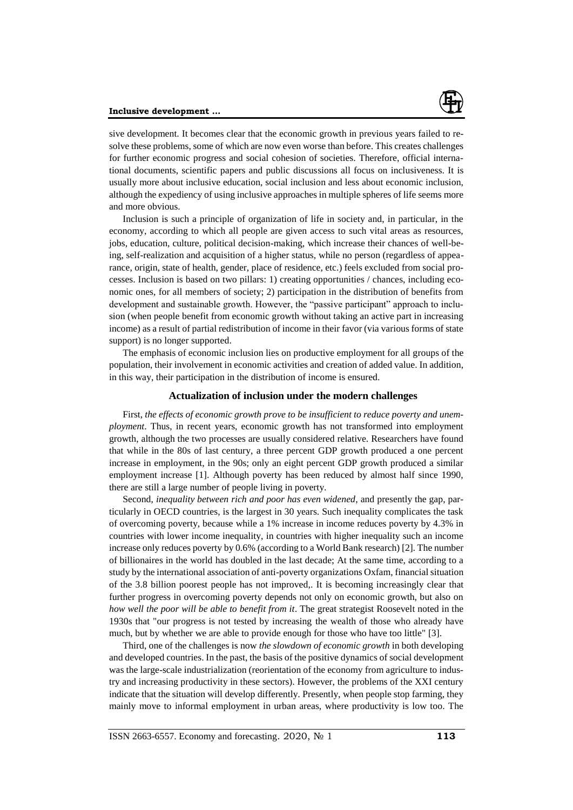#### **Inclusive development ...**



sive development. It becomes clear that the economic growth in previous years failed to resolve these problems, some of which are now even worse than before. This creates challenges for further economic progress and social cohesion of societies. Therefore, official international documents, scientific papers and public discussions all focus on inclusiveness. It is usually more about inclusive education, social inclusion and less about economic inclusion, although the expediency of using inclusive approaches in multiple spheres of life seems more and more obvious.

Inclusion is such a principle of organization of life in society and, in particular, in the economy, according to which all people are given access to such vital areas as resources, jobs, education, culture, political decision-making, which increase their chances of well-being, self-realization and acquisition of a higher status, while no person (regardless of appearance, origin, state of health, gender, place of residence, etc.) feels excluded from social processes. Inclusion is based on two pillars: 1) creating opportunities / chances, including economic ones, for all members of society; 2) participation in the distribution of benefits from development and sustainable growth. However, the "passive participant" approach to inclusion (when people benefit from economic growth without taking an active part in increasing income) as a result of partial redistribution of income in their favor (via various forms of state support) is no longer supported.

The emphasis of economic inclusion lies on productive employment for all groups of the population, their involvement in economic activities and creation of added value. In addition, in this way, their participation in the distribution of income is ensured.

### **Actualization of inclusion under the modern challenges**

First, *the effects of economic growth prove to be insufficient to reduce poverty and unemployment*. Thus, in recent years, economic growth has not transformed into employment growth, although the two processes are usually considered relative. Researchers have found that while in the 80s of last century, a three percent GDP growth produced a one percent increase in employment, in the 90s; only an eight percent GDP growth produced a similar employment increase [1]. Although poverty has been reduced by almost half since 1990, there are still a large number of people living in poverty.

Second, *inequality between rich and poor has even widened*, and presently the gap, particularly in OECD countries, is the largest in 30 years. Such inequality complicates the task of overcoming poverty, because while a 1% increase in income reduces poverty by 4.3% in countries with lower income inequality, in countries with higher inequality such an income increase only reduces poverty by 0.6% (according to a World Bank research) [2]. The number of billionaires in the world has doubled in the last decade; At the same time, according to a study by the international association of anti-poverty organizations Oxfam, financial situation of the 3.8 billion poorest people has not improved,. It is becoming increasingly clear that further progress in overcoming poverty depends not only on economic growth, but also on *how well the poor will be able to benefit from it*. The great strategist Roosevelt noted in the 1930s that "our progress is not tested by increasing the wealth of those who already have much, but by whether we are able to provide enough for those who have too little" [3].

Third, one of the challenges is now *the slowdown of economic growth* in both developing and developed countries. In the past, the basis of the positive dynamics of social development was the large-scale industrialization (reorientation of the economy from agriculture to industry and increasing productivity in these sectors). However, the problems of the XXI century indicate that the situation will develop differently. Presently, when people stop farming, they mainly move to informal employment in urban areas, where productivity is low too. The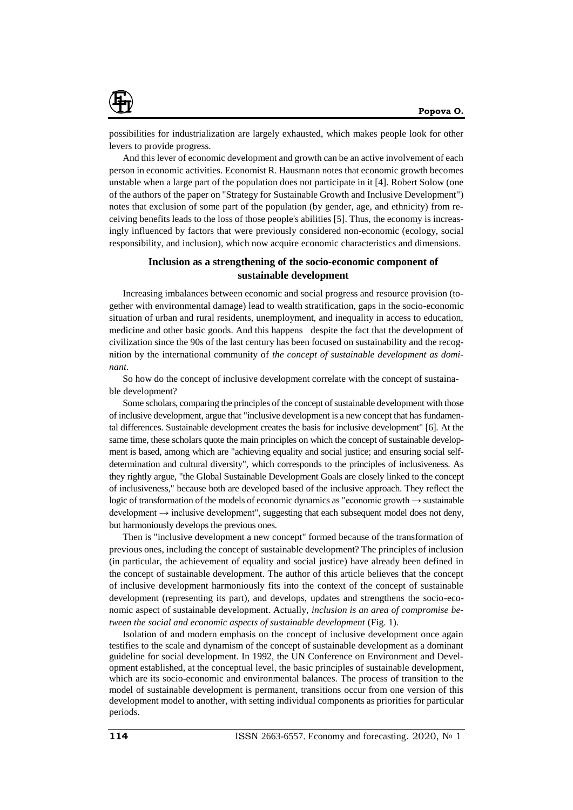

possibilities for industrialization are largely exhausted, which makes people look for other levers to provide progress.

And this lever of economic development and growth can be an active involvement of each person in economic activities. Economist R. Hausmann notes that economic growth becomes unstable when a large part of the population does not participate in it [4]. Robert Solow (one of the authors of the paper on "Strategy for Sustainable Growth and Inclusive Development") notes that exclusion of some part of the population (by gender, age, and ethnicity) from receiving benefits leads to the loss of those people's abilities [5]. Thus, the economy is increasingly influenced by factors that were previously considered non-economic (ecology, social responsibility, and inclusion), which now acquire economic characteristics and dimensions.

## **Inclusion as a strengthening of the socio-economic component of sustainable development**

Increasing imbalances between economic and social progress and resource provision (together with environmental damage) lead to wealth stratification, gaps in the socio-economic situation of urban and rural residents, unemployment, and inequality in access to education, medicine and other basic goods. And this happens despite the fact that the development of civilization since the 90s of the last century has been focused on sustainability and the recognition by the international community of *the concept of sustainable development as dominant*.

So how do the concept of inclusive development correlate with the concept of sustainable development?

Some scholars, comparing the principles of the concept of sustainable development with those of inclusive development, argue that "inclusive development is a new concept that has fundamental differences. Sustainable development creates the basis for inclusive development" [6]. At the same time, these scholars quote the main principles on which the concept of sustainable development is based, among which are "achieving equality and social justice; and ensuring social selfdetermination and cultural diversity", which corresponds to the principles of inclusiveness. As they rightly argue, "the Global Sustainable Development Goals are closely linked to the concept of inclusiveness," because both are developed based of the inclusive approach. They reflect the logic of transformation of the models of economic dynamics as "economic growth → sustainable development  $\rightarrow$  inclusive development", suggesting that each subsequent model does not deny, but harmoniously develops the previous ones.

Then is "inclusive development a new concept" formed because of the transformation of previous ones, including the concept of sustainable development? The principles of inclusion (in particular, the achievement of equality and social justice) have already been defined in the concept of sustainable development. The author of this article believes that the concept of inclusive development harmoniously fits into the context of the concept of sustainable development (representing its part), and develops, updates and strengthens the socio-economic aspect of sustainable development. Actually, *inclusion is an area of compromise between the social and economic aspects of sustainable development* (Fig. 1).

Isolation of and modern emphasis on the concept of inclusive development once again testifies to the scale and dynamism of the concept of sustainable development as a dominant guideline for social development. In 1992, the UN Conference on Environment and Development established, at the conceptual level, the basic principles of sustainable development, which are its socio-economic and environmental balances. The process of transition to the model of sustainable development is permanent, transitions occur from one version of this development model to another, with setting individual components as priorities for particular periods.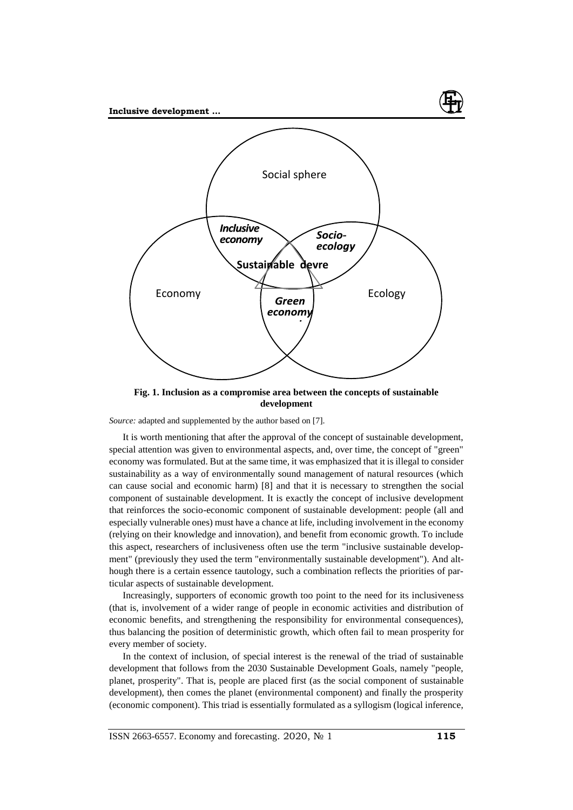

**Fig. 1. Inclusion as a compromise area between the concepts of sustainable development**

*Source:* adapted and supplemented by the author based on [7].

It is worth mentioning that after the approval of the concept of sustainable development, special attention was given to environmental aspects, and, over time, the concept of "green" economy was formulated. But at the same time, it was emphasized that it is illegal to consider sustainability as a way of environmentally sound management of natural resources (which can cause social and economic harm) [8] and that it is necessary to strengthen the social component of sustainable development. It is exactly the concept of inclusive development that reinforces the socio-economic component of sustainable development: people (all and especially vulnerable ones) must have a chance at life, including involvement in the economy (relying on their knowledge and innovation), and benefit from economic growth. To include this aspect, researchers of inclusiveness often use the term "inclusive sustainable development" (previously they used the term "environmentally sustainable development"). And although there is a certain essence tautology, such a combination reflects the priorities of particular aspects of sustainable development.

Increasingly, supporters of economic growth too point to the need for its inclusiveness (that is, involvement of a wider range of people in economic activities and distribution of economic benefits, and strengthening the responsibility for environmental consequences), thus balancing the position of deterministic growth, which often fail to mean prosperity for every member of society.

In the context of inclusion, of special interest is the renewal of the triad of sustainable development that follows from the 2030 Sustainable Development Goals, namely "people, planet, prosperity". That is, people are placed first (as the social component of sustainable development), then comes the planet (environmental component) and finally the prosperity (economic component). This triad is essentially formulated as a syllogism (logical inference,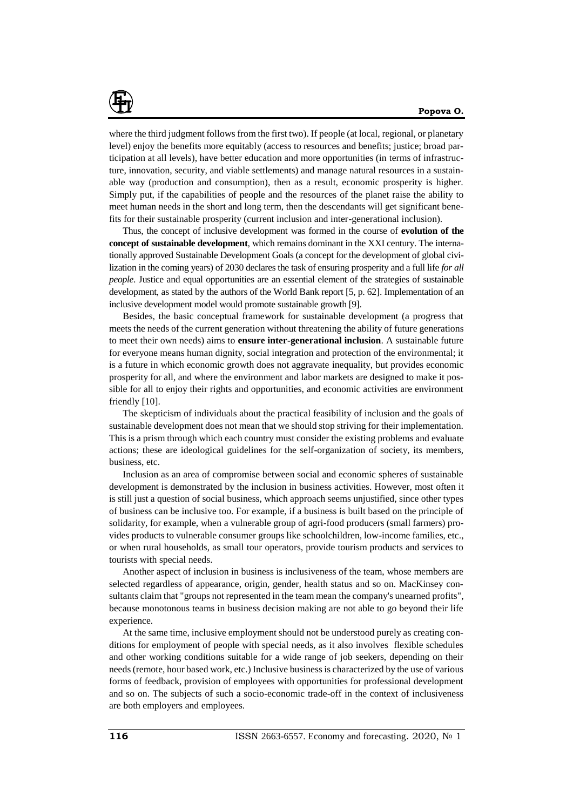

where the third judgment follows from the first two). If people (at local, regional, or planetary level) enjoy the benefits more equitably (access to resources and benefits; justice; broad participation at all levels), have better education and more opportunities (in terms of infrastructure, innovation, security, and viable settlements) and manage natural resources in a sustainable way (production and consumption), then as a result, economic prosperity is higher. Simply put, if the capabilities of people and the resources of the planet raise the ability to meet human needs in the short and long term, then the descendants will get significant benefits for their sustainable prosperity (current inclusion and inter-generational inclusion).

Thus, the concept of inclusive development was formed in the course of **evolution of the concept of sustainable development**, which remains dominant in the XXI century. The internationally approved Sustainable Development Goals (a concept for the development of global civilization in the coming years) of 2030 declares the task of ensuring prosperity and a full life *for all people*. Justice and equal opportunities are an essential element of the strategies of sustainable development, as stated by the authors of the World Bank report [5, p. 62]. Implementation of an inclusive development model would promote sustainable growth [9].

Besides, the basic conceptual framework for sustainable development (a progress that meets the needs of the current generation without threatening the ability of future generations to meet their own needs) aims to **ensure inter-generational inclusion**. A sustainable future for everyone means human dignity, social integration and protection of the environmental; it is a future in which economic growth does not aggravate inequality, but provides economic prosperity for all, and where the environment and labor markets are designed to make it possible for all to enjoy their rights and opportunities, and economic activities are environment friendly [10].

The skepticism of individuals about the practical feasibility of inclusion and the goals of sustainable development does not mean that we should stop striving for their implementation. This is a prism through which each country must consider the existing problems and evaluate actions; these are ideological guidelines for the self-organization of society, its members, business, etc.

Inclusion as an area of compromise between social and economic spheres of sustainable development is demonstrated by the inclusion in business activities. However, most often it is still just a question of social business, which approach seems unjustified, since other types of business can be inclusive too. For example, if a business is built based on the principle of solidarity, for example, when a vulnerable group of agri-food producers (small farmers) provides products to vulnerable consumer groups like schoolchildren, low-income families, etc., or when rural households, as small tour operators, provide tourism products and services to tourists with special needs.

Another aspect of inclusion in business is inclusiveness of the team, whose members are selected regardless of appearance, origin, gender, health status and so on. MacKinsey consultants claim that "groups not represented in the team mean the company's unearned profits", because monotonous teams in business decision making are not able to go beyond their life experience.

At the same time, inclusive employment should not be understood purely as creating conditions for employment of people with special needs, as it also involves flexible schedules and other working conditions suitable for a wide range of job seekers, depending on their needs (remote, hour based work, etc.) Inclusive business is characterized by the use of various forms of feedback, provision of employees with opportunities for professional development and so on. The subjects of such a socio-economic trade-off in the context of inclusiveness are both employers and employees.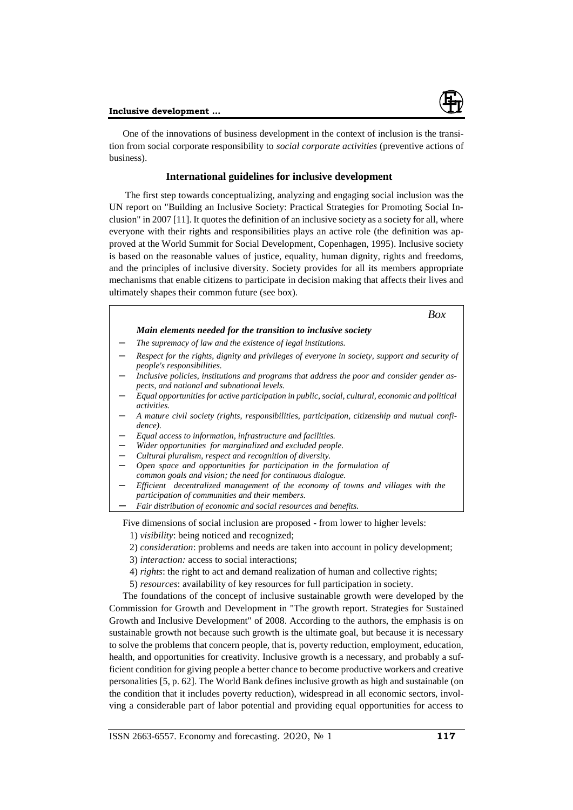

One of the innovations of business development in the context of inclusion is the transition from social corporate responsibility to *social corporate activities* (preventive actions of business).

## **International guidelines for inclusive development**

The first step towards conceptualizing, analyzing and engaging social inclusion was the UN report on "Building an Inclusive Society: Practical Strategies for Promoting Social Inclusion" in 2007 [11]. It quotes the definition of an inclusive society as a society for all, where everyone with their rights and responsibilities plays an active role (the definition was approved at the World Summit for Social Development, Copenhagen, 1995). Inclusive society is based on the reasonable values of justice, equality, human dignity, rights and freedoms, and the principles of inclusive diversity. Society provides for all its members appropriate mechanisms that enable citizens to participate in decision making that affects their lives and ultimately shapes their common future (see box).

| Box                                                                                                                                        |
|--------------------------------------------------------------------------------------------------------------------------------------------|
| Main elements needed for the transition to inclusive society                                                                               |
| The supremacy of law and the existence of legal institutions.                                                                              |
| Respect for the rights, dignity and privileges of everyone in society, support and security of<br><i>people's responsibilities.</i>        |
| Inclusive policies, institutions and programs that address the poor and consider gender as-<br>pects, and national and subnational levels. |
| Equal opportunities for active participation in public, social, cultural, economic and political<br><i>activities.</i>                     |
| A mature civil society (rights, responsibilities, participation, citizenship and mutual confi-<br>dence).                                  |
| Equal access to information, infrastructure and facilities.                                                                                |
| Wider opportunities for marginalized and excluded people.                                                                                  |
| Cultural pluralism, respect and recognition of diversity.                                                                                  |
| Open space and opportunities for participation in the formulation of                                                                       |
| common goals and vision; the need for continuous dialogue.                                                                                 |
| Efficient decentralized management of the economy of towns and villages with the                                                           |
| participation of communities and their members.                                                                                            |
| Fair distribution of economic and social resources and benefits.                                                                           |

Five dimensions of social inclusion are proposed - from lower to higher levels:

- 1) *visibility*: being noticed and recognized;
- 2) *consideration*: problems and needs are taken into account in policy development;
- 3) *interaction:* access to social interactions;
- 4) *rights*: the right to act and demand realization of human and collective rights;
- 5) *resources*: availability of key resources for full participation in society.

The foundations of the concept of inclusive sustainable growth were developed by the Commission for Growth and Development in "The growth report. Strategies for Sustained Growth and Inclusive Development" of 2008. According to the authors, the emphasis is on sustainable growth not because such growth is the ultimate goal, but because it is necessary to solve the problems that concern people, that is, poverty reduction, employment, education, health, and opportunities for creativity. Inclusive growth is a necessary, and probably a sufficient condition for giving people a better chance to become productive workers and creative personalities [5, p. 62]. The World Bank defines inclusive growth as high and sustainable (on the condition that it includes poverty reduction), widespread in all economic sectors, involving a considerable part of labor potential and providing equal opportunities for access to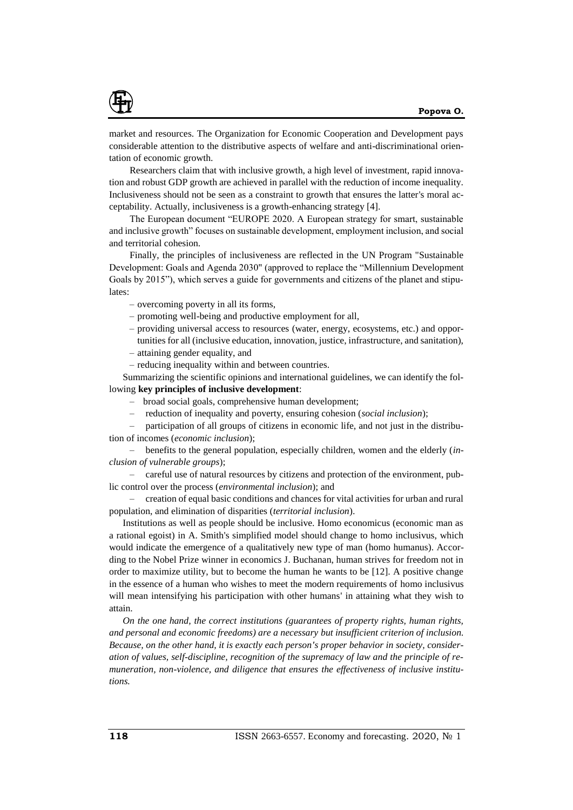

market and resources. The Organization for Economic Cooperation and Development pays considerable attention to the distributive aspects of welfare and anti-discriminational orientation of economic growth.

Researchers claim that with inclusive growth, a high level of investment, rapid innovation and robust GDP growth are achieved in parallel with the reduction of income inequality. Inclusiveness should not be seen as a constraint to growth that ensures the latter's moral acceptability. Actually, inclusiveness is a growth-enhancing strategy [4].

The European document "EUROPE 2020. A European strategy for smart, sustainable and inclusive growth" focuses on sustainable development, employment inclusion, and social and territorial cohesion.

Finally, the principles of inclusiveness are reflected in the UN Program "Sustainable Development: Goals and Agenda 2030" (approved to replace the "Millennium Development Goals by 2015"), which serves a guide for governments and citizens of the planet and stipulates:

- overcoming poverty in all its forms,
- promoting well-being and productive employment for all,
- providing universal access to resources (water, energy, ecosystems, etc.) and opportunities for all (inclusive education, innovation, justice, infrastructure, and sanitation),
- attaining gender equality, and
- reducing inequality within and between countries.

Summarizing the scientific opinions and international guidelines, we can identify the following **key principles of inclusive development**:

- broad social goals, comprehensive human development;
- reduction of inequality and poverty, ensuring cohesion (*social inclusion*);

– participation of all groups of citizens in economic life, and not just in the distribution of incomes (*economic inclusion*);

– benefits to the general population, especially children, women and the elderly (*inclusion of vulnerable groups*);

– careful use of natural resources by citizens and protection of the environment, public control over the process (*environmental inclusion*); and

– creation of equal basic conditions and chances for vital activities for urban and rural population, and elimination of disparities (*territorial inclusion*).

Institutions as well as people should be inclusive. Homo economicus (economic man as a rational egoist) in A. Smith's simplified model should change to homo inclusivus, which would indicate the emergence of a qualitatively new type of man (homo humanus). According to the Nobel Prize winner in economics J. Buchanan, human strives for freedom not in order to maximize utility, but to become the human he wants to be [12]. A positive change in the essence of a human who wishes to meet the modern requirements of homo inclusivus will mean intensifying his participation with other humans' in attaining what they wish to attain.

*On the one hand, the correct institutions (guarantees of property rights, human rights, and personal and economic freedoms) are a necessary but insufficient criterion of inclusion. Because, on the other hand, it is exactly each person's proper behavior in society, consideration of values, self-discipline, recognition of the supremacy of law and the principle of remuneration, non-violence, and diligence that ensures the effectiveness of inclusive institutions.*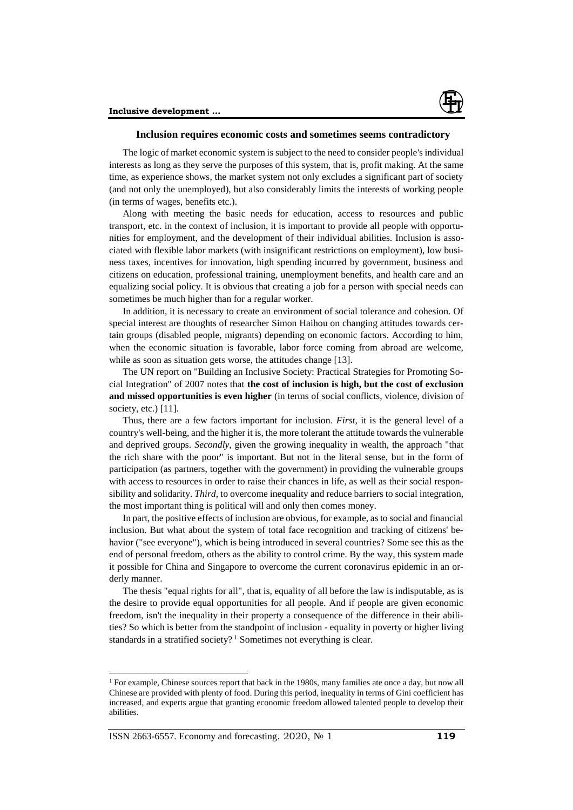

### **Inclusion requires economic costs and sometimes seems contradictory**

The logic of market economic system is subject to the need to consider people's individual interests as long as they serve the purposes of this system, that is, profit making. At the same time, as experience shows, the market system not only excludes a significant part of society (and not only the unemployed), but also considerably limits the interests of working people (in terms of wages, benefits etc.).

Along with meeting the basic needs for education, access to resources and public transport, etc. in the context of inclusion, it is important to provide all people with opportunities for employment, and the development of their individual abilities. Inclusion is associated with flexible labor markets (with insignificant restrictions on employment), low business taxes, incentives for innovation, high spending incurred by government, business and citizens on education, professional training, unemployment benefits, and health care and an equalizing social policy. It is obvious that creating a job for a person with special needs can sometimes be much higher than for a regular worker.

In addition, it is necessary to create an environment of social tolerance and cohesion. Of special interest are thoughts of researcher Simon Haihou on changing attitudes towards certain groups (disabled people, migrants) depending on economic factors. According to him, when the economic situation is favorable, labor force coming from abroad are welcome, while as soon as situation gets worse, the attitudes change [13].

The UN report on "Building an Inclusive Society: Practical Strategies for Promoting Social Integration" of 2007 notes that **the cost of inclusion is high, but the cost of exclusion and missed opportunities is even higher** (in terms of social conflicts, violence, division of society, etc.) [11].

Thus, there are a few factors important for inclusion. *First*, it is the general level of a country's well-being, and the higher it is, the more tolerant the attitude towards the vulnerable and deprived groups. *Secondly*, given the growing inequality in wealth, the approach "that the rich share with the poor" is important. But not in the literal sense, but in the form of participation (as partners, together with the government) in providing the vulnerable groups with access to resources in order to raise their chances in life, as well as their social responsibility and solidarity. *Third*, to overcome inequality and reduce barriers to social integration, the most important thing is political will and only then comes money.

In part, the positive effects of inclusion are obvious, for example, as to social and financial inclusion. But what about the system of total face recognition and tracking of citizens' behavior ("see everyone"), which is being introduced in several countries? Some see this as the end of personal freedom, others as the ability to control crime. By the way, this system made it possible for China and Singapore to overcome the current coronavirus epidemic in an orderly manner.

The thesis "equal rights for all", that is, equality of all before the law is indisputable, as is the desire to provide equal opportunities for all people. And if people are given economic freedom, isn't the inequality in their property a consequence of the difference in their abilities? So which is better from the standpoint of inclusion - equality in poverty or higher living standards in a stratified society?<sup>1</sup> Sometimes not everything is clear.

l

<sup>&</sup>lt;sup>1</sup> For example, Chinese sources report that back in the 1980s, many families ate once a day, but now all Chinese are provided with plenty of food. During this period, inequality in terms of Gini coefficient has increased, and experts argue that granting economic freedom allowed talented people to develop their abilities.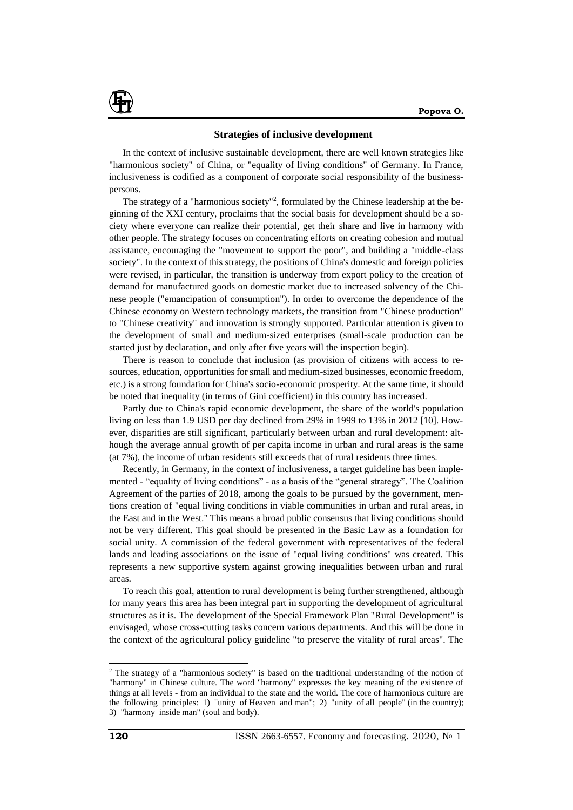

#### **Strategies of inclusive development**

In the context of inclusive sustainable development, there are well known strategies like "harmonious society" of China, or "equality of living conditions" of Germany. In France, inclusiveness is codified as a component of corporate social responsibility of the businesspersons.

The strategy of a "harmonious society"<sup>2</sup>, formulated by the Chinese leadership at the beginning of the XXI century, proclaims that the social basis for development should be a society where everyone can realize their potential, get their share and live in harmony with other people. The strategy focuses on concentrating efforts on creating cohesion and mutual assistance, encouraging the "movement to support the poor", and building a "middle-class society". In the context of this strategy, the positions of China's domestic and foreign policies were revised, in particular, the transition is underway from export policy to the creation of demand for manufactured goods on domestic market due to increased solvency of the Chinese people ("emancipation of consumption"). In order to overcome the dependence of the Chinese economy on Western technology markets, the transition from "Chinese production" to "Chinese creativity" and innovation is strongly supported. Particular attention is given to the development of small and medium-sized enterprises (small-scale production can be started just by declaration, and only after five years will the inspection begin).

There is reason to conclude that inclusion (as provision of citizens with access to resources, education, opportunities for small and medium-sized businesses, economic freedom, etc.) is a strong foundation for China's socio-economic prosperity. At the same time, it should be noted that inequality (in terms of Gini coefficient) in this country has increased.

Partly due to China's rapid economic development, the share of the world's population living on less than 1.9 USD per day declined from 29% in 1999 to 13% in 2012 [10]. However, disparities are still significant, particularly between urban and rural development: although the average annual growth of per capita income in urban and rural areas is the same (at 7%), the income of urban residents still exceeds that of rural residents three times.

Recently, in Germany, in the context of inclusiveness, a target guideline has been implemented - "equality of living conditions" - as a basis of the "general strategy". The Coalition Agreement of the parties of 2018, among the goals to be pursued by the government, mentions creation of "equal living conditions in viable communities in urban and rural areas, in the East and in the West." This means a broad public consensus that living conditions should not be very different. This goal should be presented in the Basic Law as a foundation for social unity. A commission of the federal government with representatives of the federal lands and leading associations on the issue of "equal living conditions" was created. This represents a new supportive system against growing inequalities between urban and rural areas.

To reach this goal, attention to rural development is being further strengthened, although for many years this area has been integral part in supporting the development of agricultural structures as it is. The development of the Special Framework Plan "Rural Development" is envisaged, whose cross-cutting tasks concern various departments. And this will be done in the context of the agricultural policy guideline "to preserve the vitality of rural areas". The

 $\overline{a}$ 

<sup>&</sup>lt;sup>2</sup> The strategy of a "harmonious society" is based on the traditional understanding of the notion of "harmony" in Chinese culture. The word "harmony" expresses the key meaning of the existence of things at all levels - from an individual to the state and the world. The core of harmonious culture are the following principles: 1) "unity of Heaven and man"; 2) "unity of all people" (in the country); 3) "harmony inside man" (soul and body).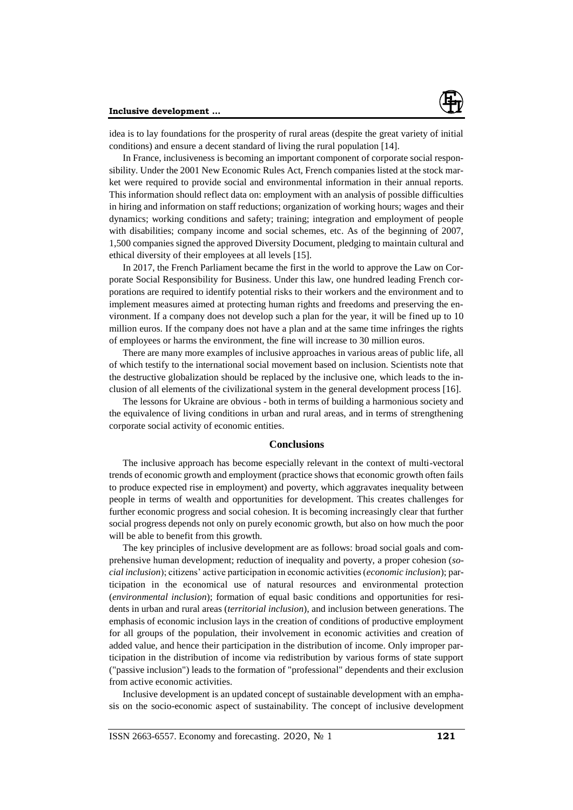

idea is to lay foundations for the prosperity of rural areas (despite the great variety of initial conditions) and ensure a decent standard of living the rural population [14].

In France, inclusiveness is becoming an important component of corporate social responsibility. Under the 2001 New Economic Rules Act, French companies listed at the stock market were required to provide social and environmental information in their annual reports. This information should reflect data on: employment with an analysis of possible difficulties in hiring and information on staff reductions; organization of working hours; wages and their dynamics; working conditions and safety; training; integration and employment of people with disabilities; company income and social schemes, etc. As of the beginning of 2007, 1,500 companies signed the approved Diversity Document, pledging to maintain cultural and ethical diversity of their employees at all levels [15].

In 2017, the French Parliament became the first in the world to approve the Law on Corporate Social Responsibility for Business. Under this law, one hundred leading French corporations are required to identify potential risks to their workers and the environment and to implement measures aimed at protecting human rights and freedoms and preserving the environment. If a company does not develop such a plan for the year, it will be fined up to 10 million euros. If the company does not have a plan and at the same time infringes the rights of employees or harms the environment, the fine will increase to 30 million euros.

There are many more examples of inclusive approaches in various areas of public life, all of which testify to the international social movement based on inclusion. Scientists note that the destructive globalization should be replaced by the inclusive one, which leads to the inclusion of all elements of the civilizational system in the general development process [16].

The lessons for Ukraine are obvious - both in terms of building a harmonious society and the equivalence of living conditions in urban and rural areas, and in terms of strengthening corporate social activity of economic entities.

#### **Conclusions**

The inclusive approach has become especially relevant in the context of multi-vectoral trends of economic growth and employment (practice shows that economic growth often fails to produce expected rise in employment) and poverty, which aggravates inequality between people in terms of wealth and opportunities for development. This creates challenges for further economic progress and social cohesion. It is becoming increasingly clear that further social progress depends not only on purely economic growth, but also on how much the poor will be able to benefit from this growth.

The key principles of inclusive development are as follows: broad social goals and comprehensive human development; reduction of inequality and poverty, a proper cohesion (*social inclusion*); citizens' active participation in economic activities (*economic inclusion*); participation in the economical use of natural resources and environmental protection (*environmental inclusion*); formation of equal basic conditions and opportunities for residents in urban and rural areas (*territorial inclusion*), and inclusion between generations. The emphasis of economic inclusion lays in the creation of conditions of productive employment for all groups of the population, their involvement in economic activities and creation of added value, and hence their participation in the distribution of income. Only improper participation in the distribution of income via redistribution by various forms of state support ("passive inclusion") leads to the formation of "professional" dependents and their exclusion from active economic activities.

Inclusive development is an updated concept of sustainable development with an emphasis on the socio-economic aspect of sustainability. The concept of inclusive development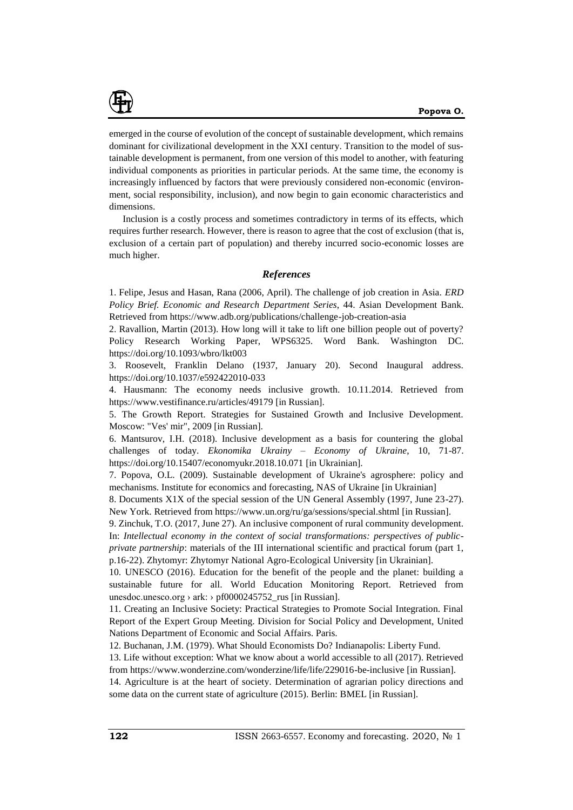

emerged in the course of evolution of the concept of sustainable development, which remains dominant for civilizational development in the XXI century. Transition to the model of sustainable development is permanent, from one version of this model to another, with featuring individual components as priorities in particular periods. At the same time, the economy is increasingly influenced by factors that were previously considered non-economic (environment, social responsibility, inclusion), and now begin to gain economic characteristics and dimensions.

Inclusion is a costly process and sometimes contradictory in terms of its effects, which requires further research. However, there is reason to agree that the cost of exclusion (that is, exclusion of a certain part of population) and thereby incurred socio-economic losses are much higher.

### *References*

1. Felipe, Jesus and Hasan, Rana (2006, April). The challenge of job creation in Asia. *ERD Policy Brief. Economic and Research Department Series*, 44. Asian Development Bank. Retrieved from https://www.adb.org/publications/challenge-job-creation-asia

2. Ravallion, Martin (2013). How long will it take to lift one billion people out of poverty? Policy Research Working Paper, WPS6325. Word Bank. Washington DC. https://doi.org/10.1093/wbro/lkt003

3. Roosevelt, Franklin Delano (1937, January 20). Second Inaugural address. https://doi.org/10.1037/e592422010-033

4. Hausmann: The economy needs inclusive growth. 10.11.2014. Retrieved from https://www.vestifinance.ru/articles/49179 [in Russian].

5. The Growth Report. Strategies for Sustained Growth and Inclusive Development. Moscow: "Ves' mir", 2009 [in Russian].

6. Mantsurov, I.H. (2018). Inclusive development as a basis for countering the global challenges of today. *Ekonomika Ukrainy – Economy of Ukraine*, 10, 71-87. https://doi.org/10.15407/economyukr.2018.10.071 [in Ukrainian].

7. Popova, O.L. (2009). Sustainable development of Ukraine's agrosphere: policy and mechanisms. Institute for economics and forecasting, NAS of Ukraine [in Ukrainian]

8. Documents X1X of the special session of the UN General Assembly (1997, June 23-27). New York. Retrieved from https://www.un.org/ru/ga/sessions/special.shtml [in Russian].

9. Zinchuk, T.O. (2017, June 27). An inclusive component of rural community development. In: *Intellectual economy in the context of social transformations: perspectives of publicprivate partnership*: materials of the III international scientific and practical forum (part 1, p.16-22). Zhytomyr: Zhytomyr National Agro-Ecological University [in Ukrainian].

10. UNESCO (2016). Education for the benefit of the people and the planet: building a sustainable future for all. World Education Monitoring Report. Retrieved from unesdoc.unesco.org  $\rightarrow$  ark:  $\rightarrow$  pf0000245752 rus [in Russian].

11. Creating an Inclusive Society: Practical Strategies to Promote Social Integration. Final Report of the Expert Group Meeting. Division for Social Policy and Development, United Nations Department of Economic and Social Affairs. Paris.

12. Buchanan, J.M. (1979). What Should Economists Do? Indianapolis: Liberty Fund.

13. Life without exception: What we know about a world accessible to all (2017). Retrieved from https://www.wonderzine.com/wonderzine/life/life/229016-be-inclusive [in Russian].

14. Agriculture is at the heart of society. Determination of agrarian policy directions and some data on the current state of agriculture (2015). Berlin: BMEL [in Russian].